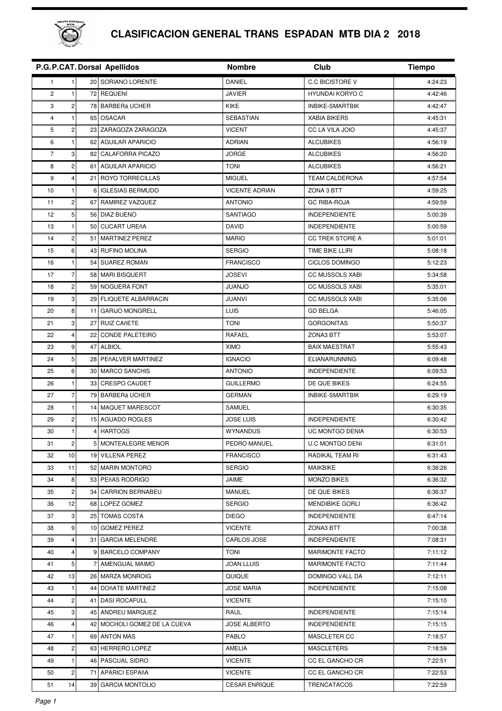

## **CLASIFICACION GENERAL TRANS ESPADAN MTB DIA 2 2018**

|                         |                  |    | P.G.P.CAT. Dorsal Apellidos  | <b>Nombre</b>         | Club                   | <b>Tiempo</b> |
|-------------------------|------------------|----|------------------------------|-----------------------|------------------------|---------------|
| $\mathbf{1}$            | 1 <sup>1</sup>   |    | 20 SORIANO LORENTE           | DANIEL                | <b>C.C BICISTORE V</b> | 4:24:23       |
| $\overline{c}$          | 1 <sup>1</sup>   |    | 72 REQUENI                   | <b>JAVIER</b>         | <b>HYUNDAI KORYO C</b> | 4:42:46       |
| 3                       | $\overline{2}$   |    | 78 BARBERA UCHER             | <b>KIKE</b>           | INBIKE-SMARTBIK        | 4:42:47       |
| $\overline{\mathbf{4}}$ | $\mathbf{1}$     |    | 65 OSACAR                    | <b>SEBASTIAN</b>      | <b>XABIA BIKERS</b>    | 4:45:31       |
| 5                       | $\overline{2}$   |    | 23 ZARAGOZA ZARAGOZA         | <b>VICENT</b>         | CC LA VILA JOIO        | 4:45:37       |
| 6                       | 1 <sup>1</sup>   |    | 62 AGUILAR APARICIO          | <b>ADRIAN</b>         | <b>ALCUBIKES</b>       | 4:56:19       |
| $\overline{7}$          | 3 <sup>1</sup>   |    | 82 CALAFORRA PICAZO          | <b>JORGE</b>          | <b>ALCUBIKES</b>       | 4:56:20       |
| 8                       | $\overline{2}$   |    | 61 AGUILAR APARICIO          | <b>TONI</b>           | <b>ALCUBIKES</b>       | 4:56:21       |
| 9                       | $\overline{4}$   |    | 21 ROYO TORRECILLAS          | <b>MIGUEL</b>         | <b>TEAM CALDERONA</b>  | 4:57:54       |
| 10                      |                  | 6  | <b>IGLESIAS BERMUDO</b>      | <b>VICENTE ADRIAN</b> | ZONA 3 BTT             | 4:59:25       |
| 11                      | $\overline{2}$   | 67 | <b>RAMIREZ VAZQUEZ</b>       | <b>ANTONIO</b>        | <b>GC RIBA-ROJA</b>    | 4:59:59       |
| 12                      | 5 <sup>1</sup>   |    | 56 DIAZ BUENO                | <b>SANTIAGO</b>       | <b>INDEPENDIENTE</b>   | 5:00:39       |
| 13                      | 1                |    | 50 CUCART UREñA              | <b>DAVID</b>          | <b>INDEPENDIENTE</b>   | 5:00:59       |
| 14                      | $\overline{2}$   |    | 51 MARTINEZ PEREZ            | <b>MARIO</b>          | <b>CC TREK STORE A</b> | 5:01:01       |
| 15                      | $6 \mid$         |    | 43 RUFINO MOLINA             | <b>SERGIO</b>         | TIME BIKE LLIRI        | 5:08:18       |
| 16                      | 1                |    | 54 SUAREZ ROMAN              | <b>FRANCISCO</b>      | CICLOS DOMINGO         | 5:12:23       |
| 17                      | $\overline{7}$   |    | 58 MARI BISQUERT             | <b>JOSEVI</b>         | <b>CC MUSSOLS XABI</b> | 5:34:58       |
| 18                      | $\overline{2}$   |    | 59 NOGUERA FONT              | <b>JUANJO</b>         | <b>CC MUSSOLS XABI</b> | 5:35:01       |
| 19                      | $\overline{3}$   |    | 29 FLIQUETE ALBARRACIN       | <b>JUANVI</b>         | <b>CC MUSSOLS XABI</b> | 5:35:06       |
| 20                      | 8                |    | 11 GARIJO MONGRELL           | LUIS                  | <b>GD BELGA</b>        | 5:46:05       |
| 21                      | $\overline{3}$   | 27 | <b>RUIZ CAñETE</b>           | <b>TONI</b>           | <b>GORGONITAS</b>      | 5:50:37       |
| 22                      | $\overline{4}$   |    | 22 CONDE PALETEIRO           | RAFAEL                | ZONA3 BTT              | 5:53:07       |
| 23                      | 9 <sup>1</sup>   | 47 | <b>ALBIOL</b>                | <b>XIMO</b>           | <b>BAIX MAESTRAT</b>   | 5:55:43       |
| 24                      | 5 <sup>1</sup>   |    | 28 PEñALVER MARTINEZ         | <b>IGNACIO</b>        | ELIANARUNNING          | 6:09:48       |
| 25                      | $6 \mid$         |    | 30 MARCO SANCHIS             | <b>ANTONIO</b>        | <b>INDEPENDIENTE</b>   | 6:09:53       |
| 26                      | 1 <sup>1</sup>   |    | 33 CRESPO CAUDET             | <b>GUILLERMO</b>      | DE QUE BIKES           | 6:24:55       |
| 27                      | $\overline{7}$   |    | 79 BARBERA UCHER             | <b>GERMAN</b>         | INBIKE-SMARTBIK        | 6:29:19       |
| 28                      | 1 <sup>1</sup>   |    | 14 MAQUET MARESCOT           | SAMUEL                |                        | 6:30:35       |
| 29                      | $\overline{2}$   |    | 15 AGUADO ROGLES             | <b>JOSE LUIS</b>      | <b>INDEPENDIENTE</b>   | 6:30:42       |
| 30                      | 1                |    | 4 HARTOGS                    | <b>WYNANDUS</b>       | UC MONTGO DENIA        | 6:30:53       |
| 31                      | 2 <sub>l</sub>   |    | 5 MONTEALEGRE MENOR          | PEDRO MANUEL          | <b>U.C MONTGO DENI</b> | 6:31:01       |
| 32                      | 10 <sup>1</sup>  |    | 19 VILLENA PEREZ             | <b>FRANCISCO</b>      | RADIKAL TEAM RI        | 6:31:43       |
| 33                      | 11               |    | 52 MARIN MONTORO             | <b>SERGIO</b>         | MAIKBIKE               | 6:36:26       |
| 34                      | 8                |    | 53 PEñAS RODRIGO             | <b>JAIME</b>          | <b>MONZO BIKES</b>     | 6:36:32       |
| 35                      | 2 <sub>l</sub>   |    | 34 CARRION BERNABEU          | MANUEL                | DE QUE BIKES           | 6:36:37       |
| 36                      | 12               |    | 68 LOPEZ GOMEZ               | <b>SERGIO</b>         | <b>MENDIBIKE GORLI</b> | 6:36:42       |
| 37                      | 3                |    | 25 TOMAS COSTA               | <b>DIEGO</b>          | <b>INDEPENDIENTE</b>   | 6:47:14       |
| 38                      | 9                |    | 10 GOMEZ PEREZ               | <b>VICENTE</b>        | ZONA3 BTT              | 7:00:38       |
| 39                      | $\overline{4}$   |    | 31 GARCIA MELENDRE           | CARLOS JOSE           | <b>INDEPENDIENTE</b>   | 7:08:31       |
| 40                      | $\overline{4}$   |    | 9 BARCELO COMPANY            | TONI                  | <b>MARIMONTE FACTO</b> | 7:11:12       |
| 41                      | 5 <sub>1</sub>   | 7  | AMENGUAL MAIMO               | <b>JOAN LLUIS</b>     | <b>MARIMONTE FACTO</b> | 7:11:44       |
| 42                      | 13               |    | 26 MARZA MONROIG             | QUIQUE                | DOMINGO VALL DA        | 7:12:11       |
| 43                      | 1 <sup>1</sup>   |    | 44 DOñATE MARTINEZ           | <b>JOSE MARIA</b>     | <b>INDEPENDIENTE</b>   | 7:15:08       |
| 44                      | $\mathsf{2}$     |    | 41 DASI ROCAFULL             | <b>VICENTE</b>        |                        | 7:15:10       |
| 45                      | 3                |    | 45 ANDREU MARQUEZ            | RAUL                  | <b>INDEPENDIENTE</b>   | 7:15:14       |
| 46                      | 41               |    | 42 MOCHOLI GOMEZ DE LA CUEVA | <b>JOSE ALBERTO</b>   | <b>INDEPENDIENTE</b>   | 7:15:15       |
| 47                      | 1 <sup>1</sup>   |    | 69 ANTON MAS                 | PABLO                 | MASCLETER CC           | 7:18:57       |
| 48                      | $2 \overline{2}$ |    | 63 HERRERO LOPEZ             | AMELIA                | MASCLETERS             | 7:18:59       |
| 49                      | 1 <sup>1</sup>   |    | 46 PASCUAL SIDRO             | <b>VICENTE</b>        | CC EL GANCHO CR        | 7:22:51       |
| 50                      | 2 <sub>l</sub>   |    | 71 APARICI ESPAñA            | <b>VICENTE</b>        | CC EL GANCHO CR        | 7:22:53       |
| 51                      | 14               |    | 39 GARCIA MONTOLIO           | <b>CESAR ENRIQUE</b>  | <b>TRENCATACOS</b>     | 7:22:59       |